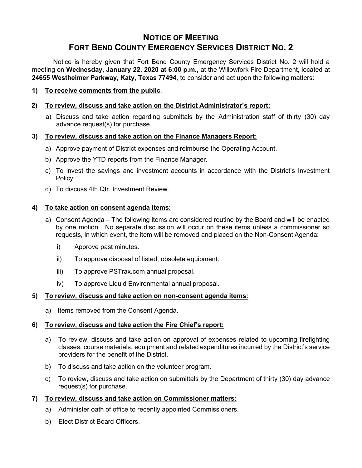# **NOTICE OF MEETING FORT BEND COUNTY EMERGENCY SERVICES DISTRICT NO. 2**

Notice is hereby given that Fort Bend County Emergency Services District No. 2 will hold a meeting on **Wednesday, January 22, 2020 at 6:00 p.m.,** at the Willowfork Fire Department, located at **24655 Westheimer Parkway, Katy, Texas 77494**, to consider and act upon the following matters:

**1) To receive comments from the public**.

# **2) To review, discuss and take action on the District Administrator's report:**

a) Discuss and take action regarding submittals by the Administration staff of thirty (30) day advance request(s) for purchase.

## **3) To review, discuss and take action on the Finance Managers Report:**

- a) Approve payment of District expenses and reimburse the Operating Account.
- b) Approve the YTD reports from the Finance Manager.
- c) To invest the savings and investment accounts in accordance with the District's Investment Policy.
- d) To discuss 4th Qtr. Investment Review.

## **4) To take action on consent agenda items:**

- a) Consent Agenda The following items are considered routine by the Board and will be enacted by one motion. No separate discussion will occur on these items unless a commissioner so requests, in which event, the item will be removed and placed on the Non-Consent Agenda:
	- i) Approve past minutes.
	- ii) To approve disposal of listed, obsolete equipment.
	- iii) To approve PSTrax.com annual proposal.
	- iv) To approve Liquid Environmental annual proposal.

#### **5) To review, discuss and take action on non-consent agenda items:**

a) Items removed from the Consent Agenda.

# **6) To review, discuss and take action the Fire Chief's report:**

- a) To review, discuss and take action on approval of expenses related to upcoming firefighting classes, course materials, equipment and related expenditures incurred by the District's service providers for the benefit of the District.
- b) To discuss and take action on the volunteer program.
- c) To review, discuss and take action on submittals by the Department of thirty (30) day advance request(s) for purchase.

#### **7) To review, discuss and take action on Commissioner matters:**

- a) Administer oath of office to recently appointed Commissioners.
- b) Elect District Board Officers.